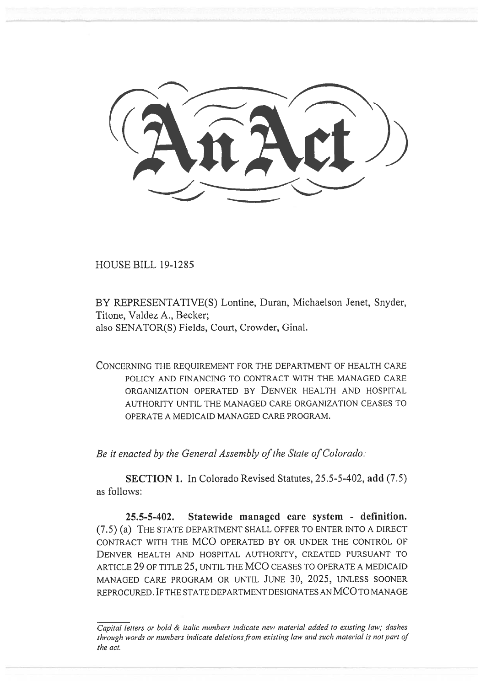HOUSE BILL 19-1285

BY REPRESENTATIVE(S) Lontine, Duran, Michaelson Jenet, Snyder, Titone, Valdez A., Becker; also SENATOR(S) Fields, Court, Crowder, Ginal.

CONCERNING THE REQUIREMENT FOR THE DEPARTMENT OF HEALTH CARE POLICY AND FINANCING TO CONTRACT WITH THE MANAGED CARE ORGANIZATION OPERATED BY DENVER HEALTH AND HOSPITAL AUTHORITY UNTIL THE MANAGED CARE ORGANIZATION CEASES TO OPERATE A MEDICAID MANAGED CARE PROGRAM.

*Be it enacted by the General Assembly of the State of Colorado:* 

**SECTION 1.** In Colorado Revised Statutes, 25.5-5-402, **add** (7.5) as follows:

**25.5-5-402. Statewide managed care system - definition.**  (7.5) (a) THE STATE DEPARTMENT SHALL OFFER TO ENTER INTO A DIRECT CONTRACT WITH THE MCO OPERATED BY OR UNDER THE CONTROL OF DENVER HEALTH AND HOSPITAL AUTHORITY, CREATED PURSUANT TO ARTICLE 29 OF TITLE 25, UNTIL THE MCO CEASES TO OPERATE A MEDICAID MANAGED CARE PROGRAM OR UNTIL JUNE 30, 2025, UNLESS SOONER REPROCURED. IF THE STATE DEPARTMENT DESIGNATES AN MCO TO MANAGE

*Capital letters or bold & italic numbers indicate new material added to existing law; dashes through words or numbers indicate deletions from existing law and such material is not part of the act.*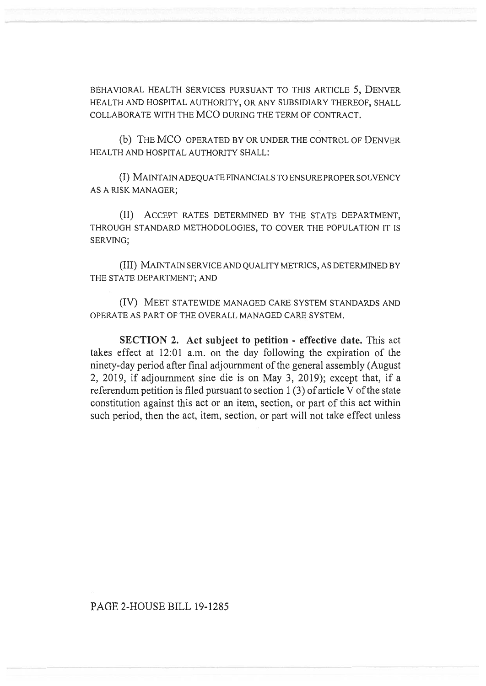BEHAVIORAL HEALTH SERVICES PURSUANT TO THIS ARTICLE 5, DENVER HEALTH AND HOSPITAL AUTHORITY, OR ANY SUBSIDIARY THEREOF, SHALL COLLABORATE WITH THE MCO DURING THE TERM OF CONTRACT.

(b) THE MCO OPERATED BY OR UNDER THE CONTROL OF DENVER HEALTH AND HOSPITAL AUTHORITY SHALL:

(I) MAINTAIN ADEQUATE FINANCIALS TO ENSURE PROPER SOLVENCY AS A RISK MANAGER;

(II) ACCEPT RATES DETERMINED BY THE STATE DEPARTMENT, THROUGH STANDARD METHODOLOGIES, TO COVER THE POPULATION IT IS SERVING;

(III) MAINTAIN SERVICE AND QUALITY METRICS, AS DETERMINED BY THE STATE DEPARTMENT; AND

(IV) MEET STATEWIDE MANAGED CARE SYSTEM STANDARDS AND OPERATE AS PART OF THE OVERALL MANAGED CARE SYSTEM.

**SECTION 2. Act subject to petition - effective date.** This act takes effect at 12:01 a.m. on the day following the expiration of the ninety-day period after final adjournment of the general assembly (August 2, 2019, if adjournment sine die is on May 3, 2019); except that, if a referendum petition is filed pursuant to section 1 (3) of article V of the state constitution against this act or an item, section, or part of this act within such period, then the act, item, section, or part will not take effect unless